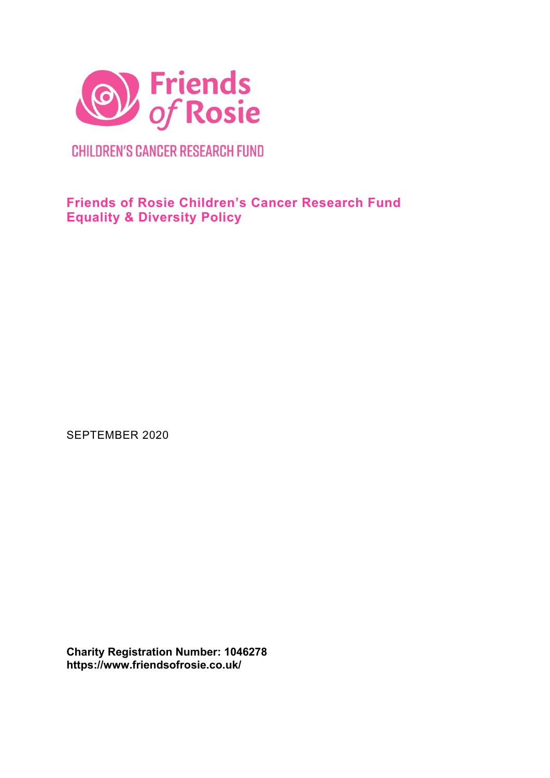

**CHILDREN'S CANCER RESEARCH FUND** 

**Friends of Rosie Children's Cancer Research Fund Equality & Diversity Policy**

SEPTEMBER 2020

**Charity Registration Number: 1046278 https://www.friendsofrosie.co.uk/**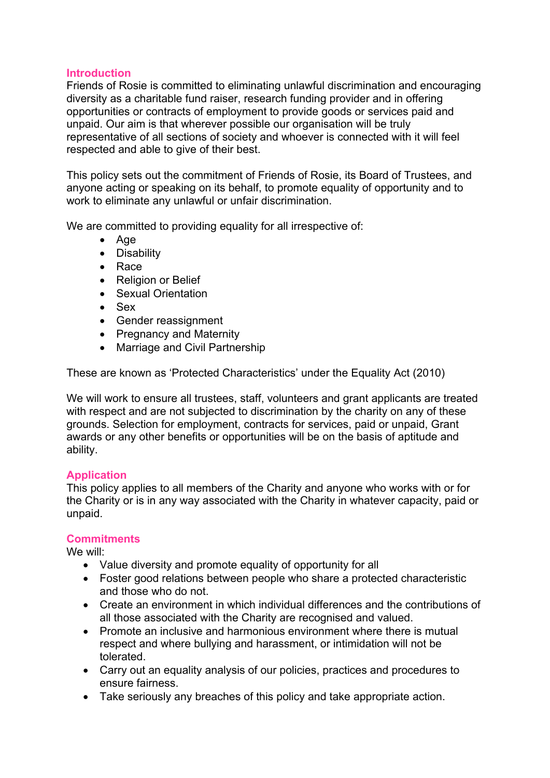### **Introduction**

Friends of Rosie is committed to eliminating unlawful discrimination and encouraging diversity as a charitable fund raiser, research funding provider and in offering opportunities or contracts of employment to provide goods or services paid and unpaid. Our aim is that wherever possible our organisation will be truly representative of all sections of society and whoever is connected with it will feel respected and able to give of their best.

This policy sets out the commitment of Friends of Rosie, its Board of Trustees, and anyone acting or speaking on its behalf, to promote equality of opportunity and to work to eliminate any unlawful or unfair discrimination.

We are committed to providing equality for all irrespective of:

- Age
- Disability
- Race
- Religion or Belief
- Sexual Orientation
- Sex
- Gender reassignment
- Pregnancy and Maternity
- Marriage and Civil Partnership

These are known as 'Protected Characteristics' under the Equality Act (2010)

We will work to ensure all trustees, staff, volunteers and grant applicants are treated with respect and are not subjected to discrimination by the charity on any of these grounds. Selection for employment, contracts for services, paid or unpaid, Grant awards or any other benefits or opportunities will be on the basis of aptitude and ability.

### **Application**

This policy applies to all members of the Charity and anyone who works with or for the Charity or is in any way associated with the Charity in whatever capacity, paid or unpaid.

### **Commitments**

We will:

- Value diversity and promote equality of opportunity for all
- Foster good relations between people who share a protected characteristic and those who do not.
- Create an environment in which individual differences and the contributions of all those associated with the Charity are recognised and valued.
- Promote an inclusive and harmonious environment where there is mutual respect and where bullying and harassment, or intimidation will not be tolerated.
- Carry out an equality analysis of our policies, practices and procedures to ensure fairness.
- Take seriously any breaches of this policy and take appropriate action.